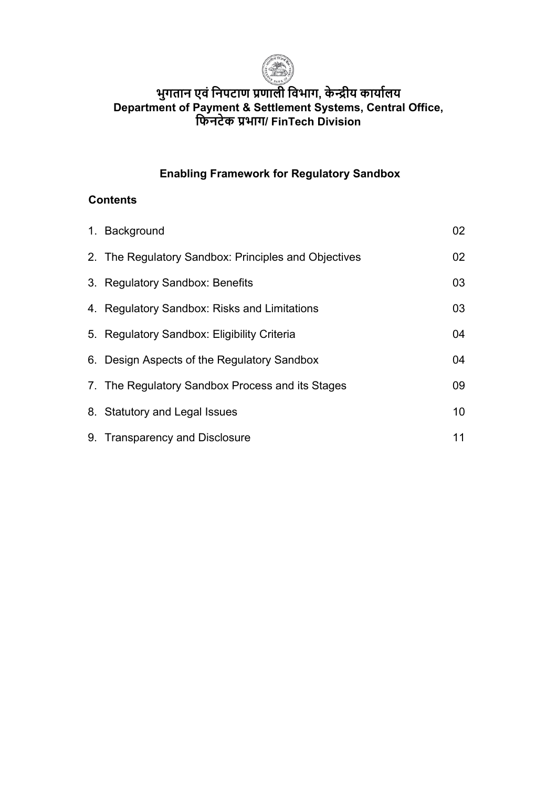

# **भुगतान एवं िनपटाण प्रणाली िवभाग, के �ीय काया�लय Department of Payment & Settlement Systems, Central Office, िफनटेक प्रभाग/ FinTech Division**

# **Enabling Framework for Regulatory Sandbox**

### **Contents**

| 1. Background                                        | 02              |
|------------------------------------------------------|-----------------|
| 2. The Regulatory Sandbox: Principles and Objectives | 02              |
| 3. Regulatory Sandbox: Benefits                      | 03              |
| 4. Regulatory Sandbox: Risks and Limitations         | 03              |
| 5. Regulatory Sandbox: Eligibility Criteria          | 04              |
| 6. Design Aspects of the Regulatory Sandbox          | 04              |
| 7. The Regulatory Sandbox Process and its Stages     | 09              |
| 8. Statutory and Legal Issues                        | 10 <sup>°</sup> |
| 9. Transparency and Disclosure                       | 11              |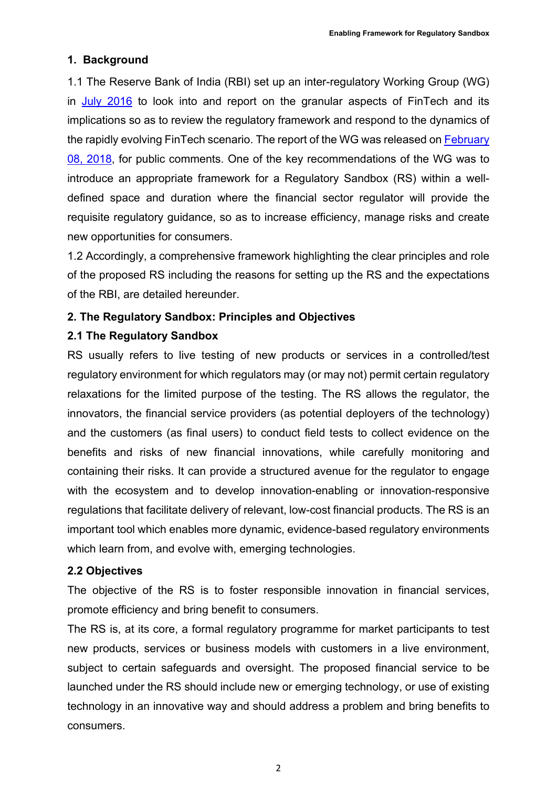### **1. Background**

1.1 The Reserve Bank of India (RBI) set up an inter-regulatory Working Group (WG) in [July 2016](https://www.rbi.org.in/Scripts/BS_PressReleaseDisplay.aspx?prid=37493) to look into and report on the granular aspects of FinTech and its implications so as to review the regulatory framework and respond to the dynamics of the rapidly evolving FinTech scenario. The report of the WG was released on [February](https://www.rbi.org.in/Scripts/BS_PressReleaseDisplay.aspx?prid=43097)  [08, 2018,](https://www.rbi.org.in/Scripts/BS_PressReleaseDisplay.aspx?prid=43097) for public comments. One of the key recommendations of the WG was to introduce an appropriate framework for a Regulatory Sandbox (RS) within a welldefined space and duration where the financial sector regulator will provide the requisite regulatory guidance, so as to increase efficiency, manage risks and create new opportunities for consumers.

1.2 Accordingly, a comprehensive framework highlighting the clear principles and role of the proposed RS including the reasons for setting up the RS and the expectations of the RBI, are detailed hereunder.

### **2. The Regulatory Sandbox: Principles and Objectives**

#### **2.1 The Regulatory Sandbox**

RS usually refers to live testing of new products or services in a controlled/test regulatory environment for which regulators may (or may not) permit certain regulatory relaxations for the limited purpose of the testing. The RS allows the regulator, the innovators, the financial service providers (as potential deployers of the technology) and the customers (as final users) to conduct field tests to collect evidence on the benefits and risks of new financial innovations, while carefully monitoring and containing their risks. It can provide a structured avenue for the regulator to engage with the ecosystem and to develop innovation-enabling or innovation-responsive regulations that facilitate delivery of relevant, low-cost financial products. The RS is an important tool which enables more dynamic, evidence-based regulatory environments which learn from, and evolve with, emerging technologies.

#### **2.2 Objectives**

The objective of the RS is to foster responsible innovation in financial services, promote efficiency and bring benefit to consumers.

The RS is, at its core, a formal regulatory programme for market participants to test new products, services or business models with customers in a live environment, subject to certain safeguards and oversight. The proposed financial service to be launched under the RS should include new or emerging technology, or use of existing technology in an innovative way and should address a problem and bring benefits to consumers.

2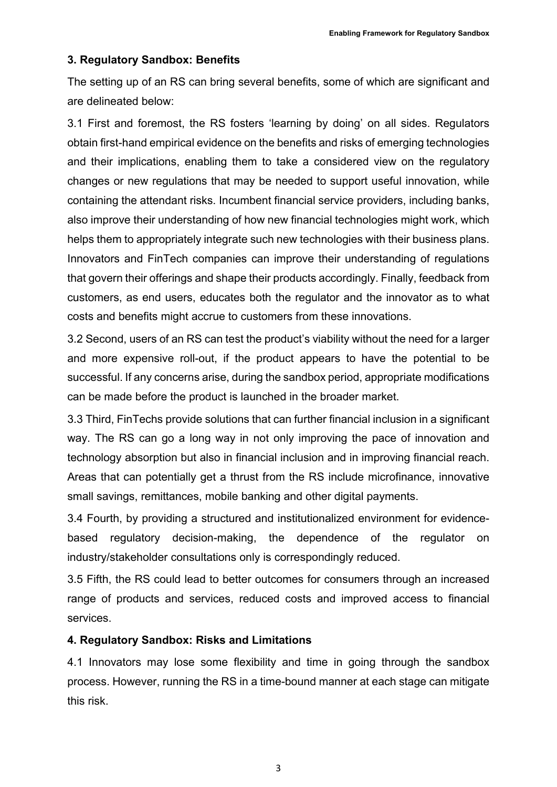### **3. Regulatory Sandbox: Benefits**

The setting up of an RS can bring several benefits, some of which are significant and are delineated below:

3.1 First and foremost, the RS fosters 'learning by doing' on all sides. Regulators obtain first-hand empirical evidence on the benefits and risks of emerging technologies and their implications, enabling them to take a considered view on the regulatory changes or new regulations that may be needed to support useful innovation, while containing the attendant risks. Incumbent financial service providers, including banks, also improve their understanding of how new financial technologies might work, which helps them to appropriately integrate such new technologies with their business plans. Innovators and FinTech companies can improve their understanding of regulations that govern their offerings and shape their products accordingly. Finally, feedback from customers, as end users, educates both the regulator and the innovator as to what costs and benefits might accrue to customers from these innovations.

3.2 Second, users of an RS can test the product's viability without the need for a larger and more expensive roll-out, if the product appears to have the potential to be successful. If any concerns arise, during the sandbox period, appropriate modifications can be made before the product is launched in the broader market.

3.3 Third, FinTechs provide solutions that can further financial inclusion in a significant way. The RS can go a long way in not only improving the pace of innovation and technology absorption but also in financial inclusion and in improving financial reach. Areas that can potentially get a thrust from the RS include microfinance, innovative small savings, remittances, mobile banking and other digital payments.

3.4 Fourth, by providing a structured and institutionalized environment for evidencebased regulatory decision-making, the dependence of the regulator on industry/stakeholder consultations only is correspondingly reduced.

3.5 Fifth, the RS could lead to better outcomes for consumers through an increased range of products and services, reduced costs and improved access to financial services.

#### **4. Regulatory Sandbox: Risks and Limitations**

4.1 Innovators may lose some flexibility and time in going through the sandbox process. However, running the RS in a time-bound manner at each stage can mitigate this risk.

3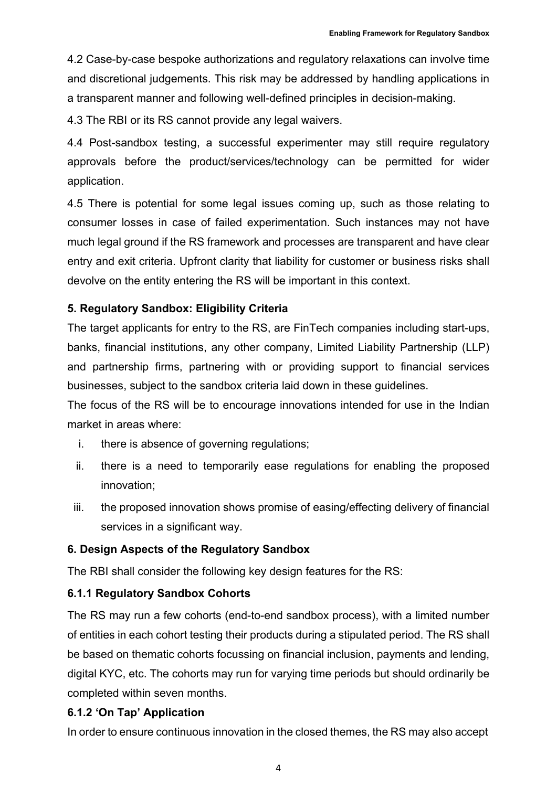4.2 Case-by-case bespoke authorizations and regulatory relaxations can involve time and discretional judgements. This risk may be addressed by handling applications in a transparent manner and following well-defined principles in decision-making.

4.3 The RBI or its RS cannot provide any legal waivers.

4.4 Post-sandbox testing, a successful experimenter may still require regulatory approvals before the product/services/technology can be permitted for wider application.

4.5 There is potential for some legal issues coming up, such as those relating to consumer losses in case of failed experimentation. Such instances may not have much legal ground if the RS framework and processes are transparent and have clear entry and exit criteria. Upfront clarity that liability for customer or business risks shall devolve on the entity entering the RS will be important in this context.

## **5. Regulatory Sandbox: Eligibility Criteria**

The target applicants for entry to the RS, are FinTech companies including start-ups, banks, financial institutions, any other company, Limited Liability Partnership (LLP) and partnership firms, partnering with or providing support to financial services businesses, subject to the sandbox criteria laid down in these guidelines.

The focus of the RS will be to encourage innovations intended for use in the Indian market in areas where:

- i. there is absence of governing regulations;
- ii. there is a need to temporarily ease regulations for enabling the proposed innovation;
- iii. the proposed innovation shows promise of easing/effecting delivery of financial services in a significant way.

## **6. Design Aspects of the Regulatory Sandbox**

The RBI shall consider the following key design features for the RS:

## **6.1.1 Regulatory Sandbox Cohorts**

The RS may run a few cohorts (end-to-end sandbox process), with a limited number of entities in each cohort testing their products during a stipulated period. The RS shall be based on thematic cohorts focussing on financial inclusion, payments and lending, digital KYC, etc. The cohorts may run for varying time periods but should ordinarily be completed within seven months.

## **6.1.2 'On Tap' Application**

In order to ensure continuous innovation in the closed themes, the RS may also accept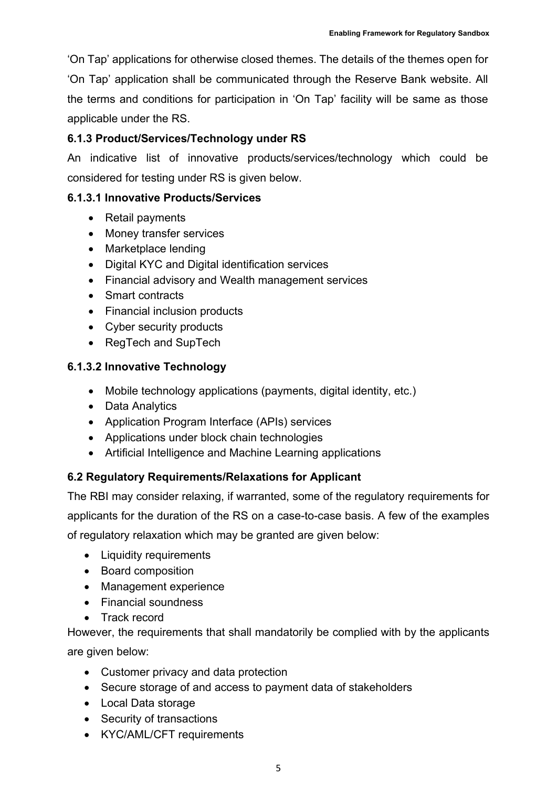'On Tap' applications for otherwise closed themes. The details of the themes open for 'On Tap' application shall be communicated through the Reserve Bank website. All the terms and conditions for participation in 'On Tap' facility will be same as those applicable under the RS.

# **6.1.3 Product/Services/Technology under RS**

An indicative list of innovative products/services/technology which could be considered for testing under RS is given below.

### **6.1.3.1 Innovative Products/Services**

- Retail payments
- Money transfer services
- Marketplace lending
- Digital KYC and Digital identification services
- Financial advisory and Wealth management services
- Smart contracts
- Financial inclusion products
- Cyber security products
- RegTech and SupTech

## **6.1.3.2 Innovative Technology**

- Mobile technology applications (payments, digital identity, etc.)
- Data Analytics
- Application Program Interface (APIs) services
- Applications under block chain technologies
- Artificial Intelligence and Machine Learning applications

## **6.2 Regulatory Requirements/Relaxations for Applicant**

The RBI may consider relaxing, if warranted, some of the regulatory requirements for applicants for the duration of the RS on a case-to-case basis. A few of the examples of regulatory relaxation which may be granted are given below:

- Liquidity requirements
- Board composition
- Management experience
- Financial soundness
- Track record

However, the requirements that shall mandatorily be complied with by the applicants

are given below:

- Customer privacy and data protection
- Secure storage of and access to payment data of stakeholders
- Local Data storage
- Security of transactions
- KYC/AML/CFT requirements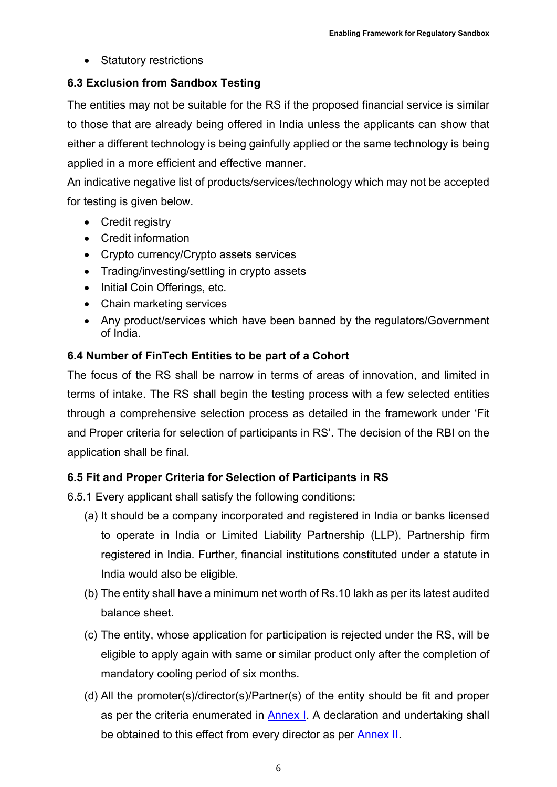• Statutory restrictions

# **6.3 Exclusion from Sandbox Testing**

The entities may not be suitable for the RS if the proposed financial service is similar to those that are already being offered in India unless the applicants can show that either a different technology is being gainfully applied or the same technology is being applied in a more efficient and effective manner.

An indicative negative list of products/services/technology which may not be accepted for testing is given below.

- Credit registry
- Credit information
- Crypto currency/Crypto assets services
- Trading/investing/settling in crypto assets
- Initial Coin Offerings, etc.
- Chain marketing services
- Any product/services which have been banned by the regulators/Government of India.

## **6.4 Number of FinTech Entities to be part of a Cohort**

The focus of the RS shall be narrow in terms of areas of innovation, and limited in terms of intake. The RS shall begin the testing process with a few selected entities through a comprehensive selection process as detailed in the framework under 'Fit and Proper criteria for selection of participants in RS'. The decision of the RBI on the application shall be final.

## **6.5 Fit and Proper Criteria for Selection of Participants in RS**

6.5.1 Every applicant shall satisfy the following conditions:

- (a) It should be a company incorporated and registered in India or banks licensed to operate in India or Limited Liability Partnership (LLP), Partnership firm registered in India. Further, financial institutions constituted under a statute in India would also be eligible.
- (b) The entity shall have a minimum net worth of Rs.10 lakh as per its latest audited balance sheet.
- (c) The entity, whose application for participation is rejected under the RS, will be eligible to apply again with same or similar product only after the completion of mandatory cooling period of six months.
- (d) All the promoter(s)/director(s)/Partner(s) of the entity should be fit and proper as per the criteria enumerated in [Annex](https://rbidocs.rbi.org.in/rdocs/content/pdfs/Enabling11102021_A1.pdf) I. A declaration and undertaking shall be obtained to this effect from every director as per **Annex II**.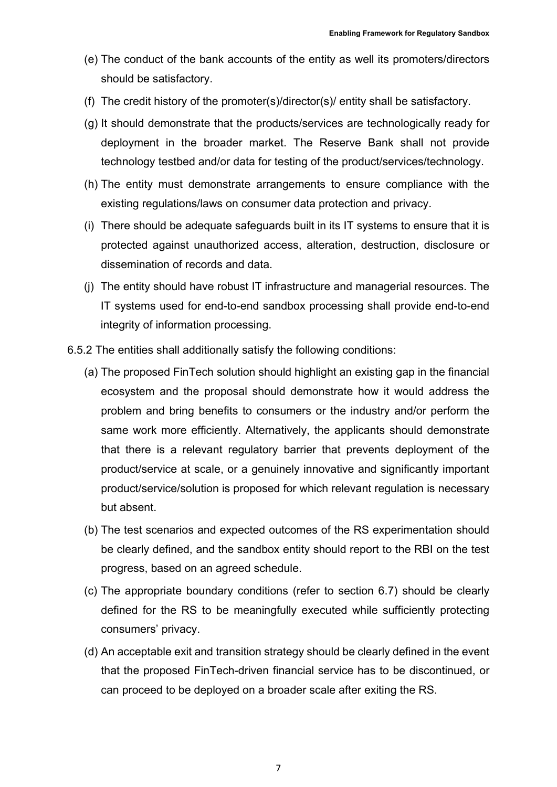- (e) The conduct of the bank accounts of the entity as well its promoters/directors should be satisfactory.
- (f) The credit history of the promoter(s)/director(s)/ entity shall be satisfactory.
- (g) It should demonstrate that the products/services are technologically ready for deployment in the broader market. The Reserve Bank shall not provide technology testbed and/or data for testing of the product/services/technology.
- (h) The entity must demonstrate arrangements to ensure compliance with the existing regulations/laws on consumer data protection and privacy.
- (i) There should be adequate safeguards built in its IT systems to ensure that it is protected against unauthorized access, alteration, destruction, disclosure or dissemination of records and data.
- (j) The entity should have robust IT infrastructure and managerial resources. The IT systems used for end-to-end sandbox processing shall provide end-to-end integrity of information processing.
- 6.5.2 The entities shall additionally satisfy the following conditions:
	- (a) The proposed FinTech solution should highlight an existing gap in the financial ecosystem and the proposal should demonstrate how it would address the problem and bring benefits to consumers or the industry and/or perform the same work more efficiently. Alternatively, the applicants should demonstrate that there is a relevant regulatory barrier that prevents deployment of the product/service at scale, or a genuinely innovative and significantly important product/service/solution is proposed for which relevant regulation is necessary but absent.
	- (b) The test scenarios and expected outcomes of the RS experimentation should be clearly defined, and the sandbox entity should report to the RBI on the test progress, based on an agreed schedule.
	- (c) The appropriate boundary conditions (refer to section 6.7) should be clearly defined for the RS to be meaningfully executed while sufficiently protecting consumers' privacy.
	- (d) An acceptable exit and transition strategy should be clearly defined in the event that the proposed FinTech-driven financial service has to be discontinued, or can proceed to be deployed on a broader scale after exiting the RS.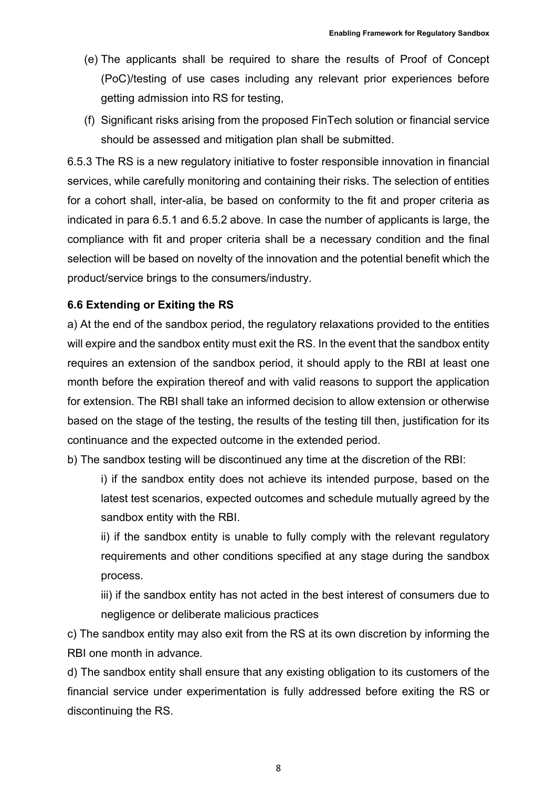- (e) The applicants shall be required to share the results of Proof of Concept (PoC)/testing of use cases including any relevant prior experiences before getting admission into RS for testing,
- (f) Significant risks arising from the proposed FinTech solution or financial service should be assessed and mitigation plan shall be submitted.

6.5.3 The RS is a new regulatory initiative to foster responsible innovation in financial services, while carefully monitoring and containing their risks. The selection of entities for a cohort shall, inter-alia, be based on conformity to the fit and proper criteria as indicated in para 6.5.1 and 6.5.2 above. In case the number of applicants is large, the compliance with fit and proper criteria shall be a necessary condition and the final selection will be based on novelty of the innovation and the potential benefit which the product/service brings to the consumers/industry.

### **6.6 Extending or Exiting the RS**

a) At the end of the sandbox period, the regulatory relaxations provided to the entities will expire and the sandbox entity must exit the RS. In the event that the sandbox entity requires an extension of the sandbox period, it should apply to the RBI at least one month before the expiration thereof and with valid reasons to support the application for extension. The RBI shall take an informed decision to allow extension or otherwise based on the stage of the testing, the results of the testing till then, justification for its continuance and the expected outcome in the extended period.

b) The sandbox testing will be discontinued any time at the discretion of the RBI:

i) if the sandbox entity does not achieve its intended purpose, based on the latest test scenarios, expected outcomes and schedule mutually agreed by the sandbox entity with the RBI.

ii) if the sandbox entity is unable to fully comply with the relevant regulatory requirements and other conditions specified at any stage during the sandbox process.

iii) if the sandbox entity has not acted in the best interest of consumers due to negligence or deliberate malicious practices

c) The sandbox entity may also exit from the RS at its own discretion by informing the RBI one month in advance.

d) The sandbox entity shall ensure that any existing obligation to its customers of the financial service under experimentation is fully addressed before exiting the RS or discontinuing the RS.

8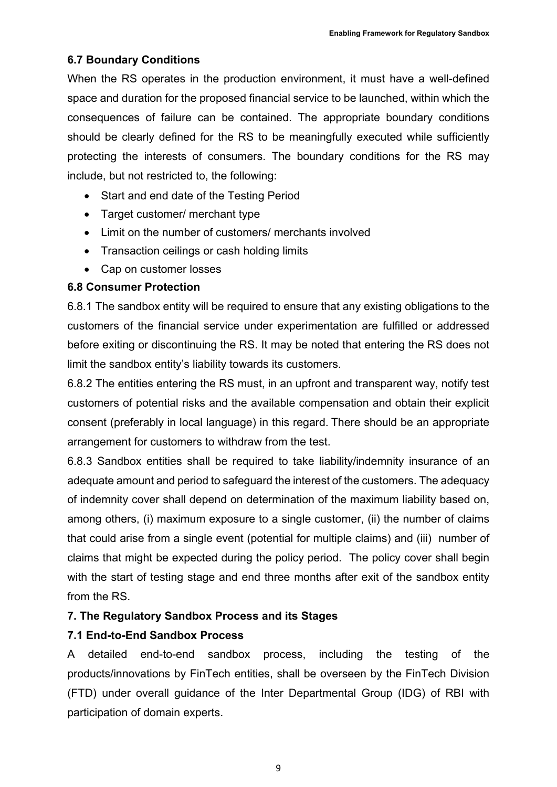## **6.7 Boundary Conditions**

When the RS operates in the production environment, it must have a well-defined space and duration for the proposed financial service to be launched, within which the consequences of failure can be contained. The appropriate boundary conditions should be clearly defined for the RS to be meaningfully executed while sufficiently protecting the interests of consumers. The boundary conditions for the RS may include, but not restricted to, the following:

- Start and end date of the Testing Period
- Target customer/ merchant type
- Limit on the number of customers/ merchants involved
- Transaction ceilings or cash holding limits
- Cap on customer losses

## **6.8 Consumer Protection**

6.8.1 The sandbox entity will be required to ensure that any existing obligations to the customers of the financial service under experimentation are fulfilled or addressed before exiting or discontinuing the RS. It may be noted that entering the RS does not limit the sandbox entity's liability towards its customers.

6.8.2 The entities entering the RS must, in an upfront and transparent way, notify test customers of potential risks and the available compensation and obtain their explicit consent (preferably in local language) in this regard. There should be an appropriate arrangement for customers to withdraw from the test.

6.8.3 Sandbox entities shall be required to take liability/indemnity insurance of an adequate amount and period to safeguard the interest of the customers. The adequacy of indemnity cover shall depend on determination of the maximum liability based on, among others, (i) maximum exposure to a single customer, (ii) the number of claims that could arise from a single event (potential for multiple claims) and (iii) number of claims that might be expected during the policy period. The policy cover shall begin with the start of testing stage and end three months after exit of the sandbox entity from the RS.

# **7. The Regulatory Sandbox Process and its Stages**

## **7.1 End-to-End Sandbox Process**

A detailed end-to-end sandbox process, including the testing of the products/innovations by FinTech entities, shall be overseen by the FinTech Division (FTD) under overall guidance of the Inter Departmental Group (IDG) of RBI with participation of domain experts.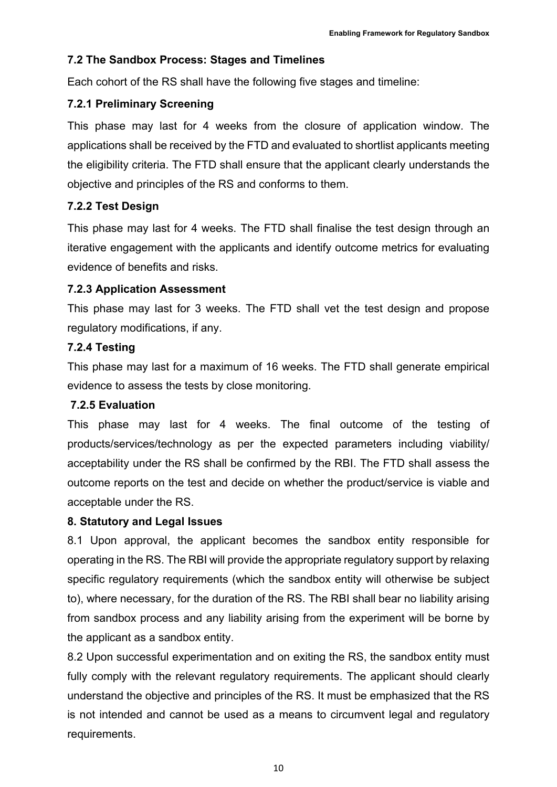### **7.2 The Sandbox Process: Stages and Timelines**

Each cohort of the RS shall have the following five stages and timeline:

### **7.2.1 Preliminary Screening**

This phase may last for 4 weeks from the closure of application window. The applications shall be received by the FTD and evaluated to shortlist applicants meeting the eligibility criteria. The FTD shall ensure that the applicant clearly understands the objective and principles of the RS and conforms to them.

### **7.2.2 Test Design**

This phase may last for 4 weeks. The FTD shall finalise the test design through an iterative engagement with the applicants and identify outcome metrics for evaluating evidence of benefits and risks.

### **7.2.3 Application Assessment**

This phase may last for 3 weeks. The FTD shall vet the test design and propose regulatory modifications, if any.

### **7.2.4 Testing**

This phase may last for a maximum of 16 weeks. The FTD shall generate empirical evidence to assess the tests by close monitoring.

#### **7.2.5 Evaluation**

This phase may last for 4 weeks. The final outcome of the testing of products/services/technology as per the expected parameters including viability/ acceptability under the RS shall be confirmed by the RBI. The FTD shall assess the outcome reports on the test and decide on whether the product/service is viable and acceptable under the RS.

#### **8. Statutory and Legal Issues**

8.1 Upon approval, the applicant becomes the sandbox entity responsible for operating in the RS. The RBI will provide the appropriate regulatory support by relaxing specific regulatory requirements (which the sandbox entity will otherwise be subject to), where necessary, for the duration of the RS. The RBI shall bear no liability arising from sandbox process and any liability arising from the experiment will be borne by the applicant as a sandbox entity.

8.2 Upon successful experimentation and on exiting the RS, the sandbox entity must fully comply with the relevant regulatory requirements. The applicant should clearly understand the objective and principles of the RS. It must be emphasized that the RS is not intended and cannot be used as a means to circumvent legal and regulatory requirements.